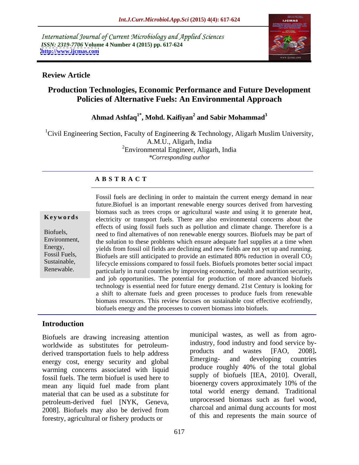International Journal of Current Microbiology and Applied Sciences *ISSN: 2319-7706* **Volume 4 Number 4 (2015) pp. 617-624 <http://www.ijcmas.com>**



### **Review Article**

# **Production Technologies, Economic Performance and Future Development Policies of Alternative Fuels: An Environmental Approach**

### **Ahmad Ashfaq1\* , Mohd. Kaifiyan<sup>2</sup> and Sabir Mohammad<sup>3</sup>**

<sup>1</sup>Civil Engineering Section, Faculty of Engineering & Technology, Aligarh Muslim University, A.M.U., Aligarh, India <sup>2</sup>Environmental Engineer, Aligarh, India *\*Corresponding author*

# **A B S T R A C T**

Renewable.

Fossil fuels are declining in order to maintain the current energy demand in near future.Biofuel is an important renewable energy sources derived from harvesting biomass such as trees crops or agricultural waste and using it to generate heat, **Keywords** electricity or transport fuels. There are also environmental concerns about the effects of using fossil fuels such as pollution and climate change. Therefore is a Biofuels, need to find alternatives of non renewable energy sources. Biofuels may be part of Environment, the solution to these problems which ensure adequate fuel supplies at a time when Energy, yields from fossil oil fields are declining and new fields are not yet up and running. Fossil Fuels, Biofuels are still anticipated to provide an estimated 80% reduction in overall  $CO<sub>2</sub>$ Sustainable, lifecycle emissions compared to fossil fuels. Biofuels promotes better social impact particularly in rural countries by improving economic, health and nutrition security, and job opportunities. The potential for production of more advanced biofuels technology is essential need for future energy demand. 21st Century is looking for a shift to alternate fuels and green processes to produce fuels from renewable biomass resources. This review focuses on sustainable cost effective ecofriendly, biofuels energy and the processes to convert biomass into biofuels.

# **Introduction**

Biofuels are drawing increasing attention worldwide as substitutes for petroleum-<br>derived transportation fuels to belo address worldwide and wastes [FAO, 2008]. derived transportation fuels to help address and wastes [FAO, 2008].<br>
Emerging- and developing countries energy cost, energy security and global warming concerns associated with liquid fossil fuels. The term biofuel is used here to mean any liquid fuel made from plant material that can be used as a substitute for<br>metrology and that can be used as a substitute for<br>metrology demand. In the unprocessed biomass such as fuel wood, petroleum-derived fuel [NYK, Geneva, unprocessed biomass such as luel wood,<br>2008) Biofitals may also be derived from charcoal and animal dung accounts for most 2008]. Biofuels may also be derived from forestry, agricultural or fishery products or

industry, food industry and food service by products and wastes [FAO, 2008]**.** Emerging- and developing countries produce roughly 40% of the total global supply of biofuels [IEA, 2010]. Overall, bioenergy covers approximately 10% of the total world energy demand. Traditional unprocessed biomass such as fuel wood, charcoal and animal dung accounts for most of this and represents the main source of

municipal wastes, as well as from agro-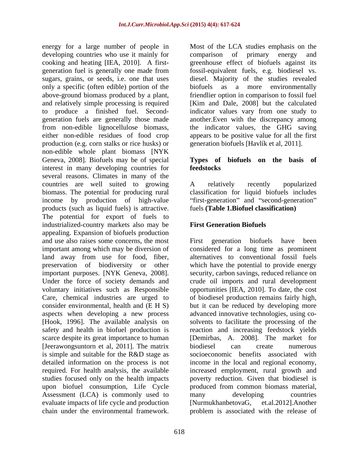energy for a large number of people in Most of the LCA studies emphasis on the developing countries who use it mainly for comparison of primary energy and cooking and heating [IEA, 2010]. A first- greenhouse effect of biofuels against its generation fuel is generally one made from fossil-equivalent fuels, e.g. biodiesel vs. sugars, grains, or seeds, i.e. one that uses diesel. Majority of the studies revealed only a specific (often edible) portion of the biofuels as above-ground biomass produced by a plant, friendlier option in comparison to fossil fuel and relatively simple processing is required [Kim and Dale, 2008] but the calculated to produce a finished fuel. Second- indicator values vary from one study to generation fuels are generally those made another.Even with the discrepancy among from non-edible lignocellulose biomass, the indicator values, the GHG saving either non-edible residues of food crop appears to be positive value for all the first production (e.g. corn stalks or rice husks) or non-edible whole plant biomass [NYK Geneva, 2008]. Biofuels may be of special interest in many developing countries for **feedstocks** several reasons. Climates in many of the countries are well suited to growing A relatively recently popularized biomass. The potential for producing rural classification for liquid biofuels includes income by production of high-value "first-generation" and "second-generation" products (such as liquid fuels) is attractive. The potential for export of fuels to industrialized-country markets also may be appealing. Expansion of biofuels production and use also raises some concerns, the most First generation biofuels have been important among which may be diversion of considered for a long time as prominent land away from use for food, fiber, alternatives to conventional fossil fuels preservation of biodiversity or other important purposes. [NYK Geneva, 2008]. security, carbon savings, reduced reliance on Under the force of society demands and crude oil imports and rural development voluntary initiatives such as Responsible opportunities [IEA, 2010]. To date, the cost Care, chemical industries are urged to of biodiesel production remains fairly high, consider environmental, health and (E H S) but it can be reduced by developing more aspects when developing a new process advanced innovative technologies, using co- [Hook, 1996]. The available analysis on safety and health in biofuel production is reaction and increasing feedstock yields scarce despite its great importance to human [Demirbas, A. 2008]. The market for [Jeerawongsuntorn et al. 2011]. The matrix biodiesel can create numerous is simple and suitable for the R&D stage as detailed information on the process is not income in the local and regional economy, required. For health analysis, the available increased employment, rural growth and studies focused only on the health impacts poverty reduction. Given that biodiesel is upon biofuel consumption, Life Cycle Assessment (LCA) is commonly used to many developing countries evaluate impacts of life cycle and production [NurmukhanbetovaG, et.al.2012]. Another chain under the environmental framework. In problem is associated with the release of ones for a large number of people in Most of the LCA studies emphasis on the cooling and besting lifts. 2010). A first, greentons effect of botologic space is the people of the entire of the studies emphasis on the studies

comparison of primary energy and a more environmentally generation biofuels [Havlík et al, 2011].

### **Types of biofuels on the basis of feedstocks**

A relatively recently popularized fuels **(Table 1.Biofuel classification)**

# **First Generation Biofuels**

First generation biofuels have been which have the potential to provide energy solvents to facilitate the processing of the biodiesel can create numerous socioeconomic benefits associated with produced from common biomass material, many developing countries  $NurnukhanbetovaG,$ problem is associated with the release of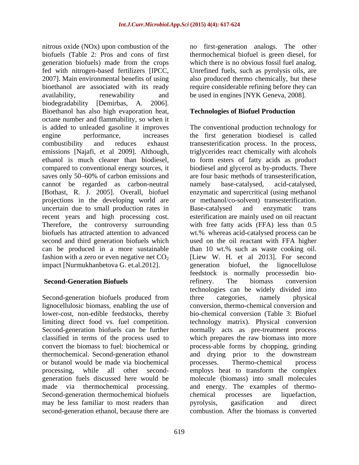nitrous oxide (NOx) upon combustion of the no first-generation analogs. The other biofuels (Table 2: Pros and cons of first generation biofuels) made from the crops fed with nitrogen-based fertilizers [IPCC, Unrefined fuels, such as pyrolysis oils, are 2007]. Main environmental benefits of using also produced thermo chemically, but these bioethanol are associated with its ready require considerable refining before they can availability, renewability and be used in engines [NYK Geneva, 2008]. biodegradability [Demirbas, A. 2006]. Bioethanol has also high evaporation heat, octane number and flammability, so when it is added to unleaded gasoline it improves The conventional production technology for engine performance, increases the first generation biodiesel is called combustibility and reduces exhaust transesterification process. In the process, emissions [Najafi, et al 2009]. Although, ethanol is much cleaner than biodiesel, to form esters of fatty acids as product compared to conventional energy sources, it biodiesel and glycerol as by-products. There saves only 50–60% of carbon emissions and cannot be regarded as carbon-neutral [Bothast, R. J. 2005]. Overall, biofuel projections in the developing world are uncertain due to small production rates in Base-catalysed and enzymatic trans recent years and high processing cost. Therefore, the controversy surrounding biofuels has attracted attention to advanced wt.% whereas acid-catalysed process can be second and third generation biofuels which used on the oil reactant with FFA higher can be produced in a more sustainable than 10 wt.% such as waste cooking oil. fashion with a zero or even negative net  $CO<sub>2</sub>$  [Liew W. H. et al 2013]. For second impact [Nurmukhanbetova G. et.al. 2012]. eeneration biofuel, the lignocellulose

Second-generation biofuels produced from three categories, namely physical lignocellulosic biomass, enabling the use of lower-cost, non-edible feedstocks, thereby or butanol would be made via biochemical Second-generation thermochemical biofuels chemical processes are liquefaction, may be less familiar to most readers than pyrolysis, gasification and direct second-generation ethanol, because there are

thermochemical biofuel is green diesel, for which there is no obvious fossil fuel analog.

### **Technologies of Biofuel Production**

**Second-Generation Biofuels** refinery. The biomass conversion limiting direct food vs. fuel competition. technology matrix). Physical conversion Second-generation biofuels can be further normally acts as pre-treatment process classified in terms of the process used to which prepares the raw biomass into more convert the biomass to fuel: biochemical or process-able forms by chopping, grinding thermochemical. Second-generation ethanol and drying prior to the downstream processing, while all other second- employs heat to transform the complex generation fuels discussed here would be molecule (biomass) into small molecules made via thermochemical processing. and energy. The examples of thermo triglycerides react chemically with alcohols are four basic methods of transesterification, namely base-catalysed, acid-catalysed, enzymatic and supercritical (using methanol or methanol/co-solvent) transesterification. Base-catalysed and enzymatic trans esterification are mainly used on oil reactant with free fatty acids (FFA) less than 0.5 generation biofuel, the lignocellulose feedstock is normally processedin biorefinery. The biomass conversion technologies can be widely divided into three categories, namely physical conversion, thermo-chemical conversion and bio-chemical conversion (Table 3: Biofuel processes. Thermo-chemical process chemical processes are liquefaction, pyrolysis, gasification and direct combustion. After the biomass is converted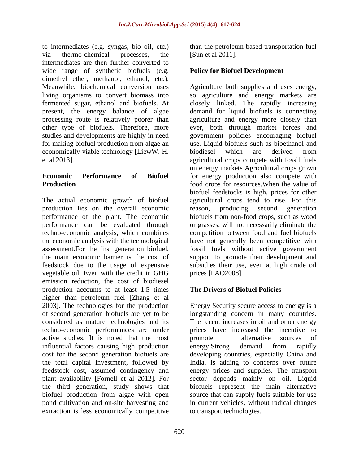to intermediates (e.g. syngas, bio oil, etc.) via thermo-chemical processes, the [Sun et al 2011]. intermediates are then further converted to wide range of synthetic biofuels (e.g. dimethyl ether, methanol, ethanol, etc.). economically viable technology [LiewW. H.

The actual economic growth of biofuel agricultural crops tend to rise. For this production lies on the overall economic performance of the plant. The economic biofuels from non-food crops, such as wood performance can be evaluated through or grasses, will not necessarily eliminate the techno-economic analysis, which combines competition between food and fuel biofuels the economic analysis with the technological have not generally been competitive with assessment.For the first generation biofuel, fossil fuels without active government the main economic barrier is the cost of support to promote their development and feedstock due to the usage of expensive subsidies their use, even at high crude oil vegetable oil. Even with the credit in GHG emission reduction, the cost of biodiesel production accounts to at least 1.5 times higher than petroleum fuel [Zhang et al 2003]. The technologies for the production of second generation biofuels are yet to be longstanding concern in many countries. considered as mature technologies and its techno-economic performances are under prices have increased the incentive to active studies. It is noted that the most influential factors causing high production energy.Strong demand from rapidly cost for the second generation biofuels are developing countries, especially China and the total capital investment, followed by India, is adding to concerns over future feedstock cost, assumed contingency and energy prices and supplies. The transport plant availability [Fornell et al 2012]. For sector depends mainly on oil. Liquid the third generation, study shows that biofuels represent the main alternative biofuel production from algae with open source that can supply fuels suitable for use pond cultivation and on-site harvesting and in current vehicles, without radical changes extraction is less economically competitive

than the petroleum-based transportation fuel [Sun et al 2011].

# **Policy for Biofuel Development**

Meanwhile, biochemical conversion uses Agriculture both supplies and uses energy, living organisms to convert biomass into so agriculture and energy markets are fermented sugar, ethanol and biofuels. At closely linked. The rapidly increasing present, the energy balance of algae demand for liquid biofuels is connecting processing route is relatively poorer than agriculture and energy more closely than other type of biofuels. Therefore, more ever, both through market forces and studies and developments are highly in need government policies encouraging biofuel for making biofuel production from algae an use. Liquid biofuels such as bioethanol and et al 2013]. agricultural crops compete with fossil fuels **Economic Performance of Biofuel** for energy production also compete with **Production** *food crops for resources.When the value of* biodiesel which are derived from on energy markets Agricultural crops grown biofuel feedstocks is high, prices for other reason, producing second generation prices [FAO2008].

# **The Drivers of Biofuel Policies**

Energy Security secure access to energy is a The recent increases in oil and other energy promote alternative sources of energy.Strong demand from rapidly to transport technologies.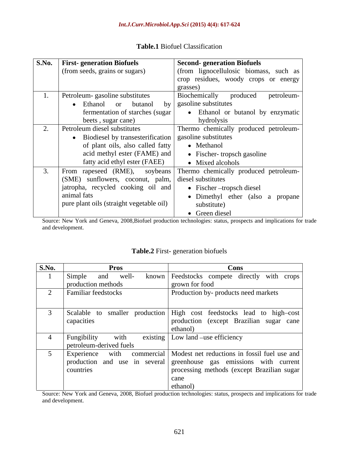| <b>S.No.</b> First-generation Biofuels<br>(from seeds, grains or sugars)                                                                                                                       | <b>Second-generation Biofuels</b><br>(from lignocellulosic biomass, such as<br>crop residues, woody crops or energy<br>grasses)                                        |
|------------------------------------------------------------------------------------------------------------------------------------------------------------------------------------------------|------------------------------------------------------------------------------------------------------------------------------------------------------------------------|
| Petroleum-gasoline substitutes<br>• Ethanol or butanol<br>fermentation of starches (sugar)<br>beets, sugar cane)                                                                               | Biochemically<br>produced petroleum-<br>by gasoline substitutes<br>• Ethanol or butanol by enzymatic<br>hydrolysis                                                     |
| Petroleum diesel substitutes<br>• Biodiesel by transesterification   gasoline substitutes<br>of plant oils, also called fatty<br>acid methyl ester (FAME) and<br>fatty acid ethyl ester (FAEE) | Thermo chemically produced petroleum-<br>• Methanol<br>• Fischer-tropsch gasoline<br>• Mixed alcohols                                                                  |
| (SME) sunflowers, coconut, palm, diesel substitutes<br>  jatropha, recycled cooking oil and  <br>animal fats<br>pure plant oils (straight vegetable oil)                                       | From rapeseed (RME), soybeans Thermo chemically produced petroleum-<br>• Fischer – tropsch diesel<br>• Dimethyl ether (also a propane<br>substitute)<br>• Green diesel |

## **Table.1** Biofuel Classification

Source: New York and Geneva, 2008,Biofuel production technologies: status, prospects and implications for trade and development.

### **Table.2** First- generation biofuels

| S.No. | <b>Pros</b>                | Cons                                                                      |
|-------|----------------------------|---------------------------------------------------------------------------|
|       | Simple<br>well-<br>and     | known   Feedstocks compete directly with crops                            |
|       | production methods         | grown for food                                                            |
|       | <b>Familiar feedstocks</b> | Production by- products need markets                                      |
|       |                            |                                                                           |
|       |                            | Scalable to smaller production High cost feedstocks lead to high-cost     |
|       | capacities                 | production (except Brazilian sugar cane                                   |
|       |                            | ethanol)                                                                  |
|       | Fungibility<br>with        | existing   Low land –use efficiency                                       |
|       | petroleum-derived fuels    |                                                                           |
|       |                            | Experience with commercial   Modest net reductions in fossil fuel use and |
|       |                            | production and use in several greenhouse gas emissions with current       |
|       | countries                  | processing methods (except Brazilian sugar)                               |
|       |                            | cane                                                                      |
|       |                            | ethanol)                                                                  |

Source: New York and Geneva, 2008, Biofuel production technologies: status, prospects and implications for trade and development.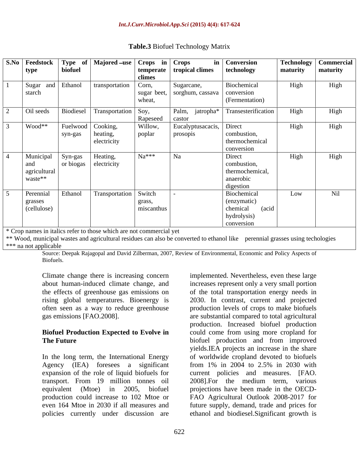|                   |         | S.No   Feedstock   Type of   Majored -use   Crops in   Crops |                     |                                             | in   Conversion                     |          | Technology   Commercial |
|-------------------|---------|--------------------------------------------------------------|---------------------|---------------------------------------------|-------------------------------------|----------|-------------------------|
| type              | biofuel |                                                              |                     | temperate tropical climes                   | technology                          | maturity | maturity                |
|                   |         |                                                              | climes              |                                             |                                     |          |                         |
| Sugar and Ethanol |         | transportation                                               | $\vert$ Corn,       | Sugarcane,                                  | Biochemical                         | High     | High                    |
| starch            |         |                                                              |                     | sugar beet,   sorghum, cassava   conversion |                                     |          |                         |
|                   |         |                                                              | wheat,              |                                             | (Fermentation)                      |          |                         |
| Oil seeds         |         | Biodiesel Transportation Soy,                                |                     |                                             | Palm, jatropha* Transesterification | High     | High                    |
|                   |         |                                                              |                     |                                             |                                     |          |                         |
| Wood**            |         | Fuelwood   Cooking,                                          | Rapeseed<br>Willow, | castor<br>  Eucalyptusacacis,   Direct      |                                     | High     | High                    |
|                   |         |                                                              |                     |                                             | combustion,                         |          |                         |
|                   | syn-gas | heating,<br>electricity                                      | poplar              | prosopis                                    |                                     |          |                         |
|                   |         |                                                              |                     |                                             | thermochemical                      |          |                         |
|                   |         |                                                              |                     |                                             | conversion                          |          |                         |
| Municipal         | Syn-gas | Heating,                                                     | $Na***$             | Na                                          | Direct                              | High     | High                    |
| and               |         | or biogas electricity                                        |                     |                                             | combustion,                         |          |                         |
| agricultural      |         |                                                              |                     |                                             | thermochemical,                     |          |                         |
| waste**           |         |                                                              |                     |                                             | anaerobic                           |          |                         |
|                   |         |                                                              |                     |                                             | digestion                           |          |                         |
| Perennial         | Ethanol | Transportation Switch                                        |                     |                                             | Biochemical                         | Low      | Nil                     |
| grasses           |         |                                                              | grass,              |                                             | (enzymatic)                         |          |                         |
| (cellulose)       |         |                                                              | miscanthus          |                                             | chemical<br>(acid                   |          |                         |
|                   |         |                                                              |                     |                                             | hydrolysis)                         |          |                         |
|                   |         |                                                              |                     |                                             | conversion                          |          |                         |

## **Table.3** Biofuel Technology Matrix

\* Crop names in italics refer to those which are not commercial yet

\*\* Wood, municipal wastes and agricultural residues can also be converted to ethanol like perennial grasses using techologies \*\*\* na not applicable

Source: Deepak Rajagopal and David Zilberman, 2007, Review of Environmental, Economic and Policy Aspects of Biofuels. The contract of the contract of the contract of the contract of the contract of the contract of the contract of the contract of the contract of the contract of the contract of the contract of the contract of the

In the long term, the International Energy Agency (IEA) foresees a significant expansion of the role of liquid biofuels for current policies and measures. [FAO. transport. From 19 million tonnes oil equivalent (Mtoe) in 2005, biofuel projections have been made in the OECD production could increase to 102 Mtoe or FAO Agricultural Outlook 2008-2017 for even 164 Mtoe in 2030 if all measures and future supply, demand, trade and prices for policies currently under discussion are ethanol and biodiesel.Significant growth is

Climate change there is increasing concern implemented. Nevertheless, even these large about human-induced climate change, and increases represent only a very small portion the effects of greenhouse gas emissions on of the total transportation energy needs in rising global temperatures. Bioenergy is 2030. In contrast, current and projected often seen as a way to reduce greenhouse production levels of crops to make biofuels gas emissions [FAO.2008]. are substantial compared to total agricultural **Biofuel Production Expected to Evolve in** could come from using more cropland for **The Future Example 2.1 and Structure biofuel** production and from improved production. Increased biofuel production yields.IEA projects an increase in the share of worldwide cropland devoted to biofuels from 1% in 2004 to 2.5% in 2030 with 2008].For the medium term, various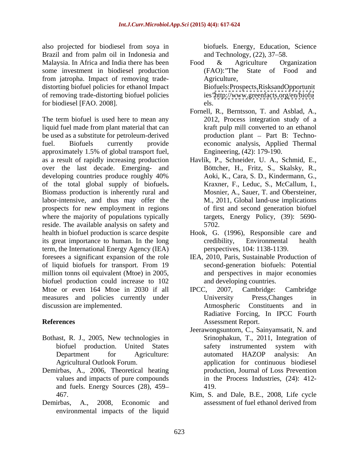also projected for biodiesel from soya in Brazil and from palm oil in Indonesia and Malaysia. In Africa and India there has been  $\overline{\text{p}}$  Food & Agriculture Organization some investment in biodiesel production (FAO): The State of Food and from jatropha. Impact of removing trade distorting biofuel policies for ethanol Impact of removing trade-distorting biofuel policies for biodiesel [FAO. 2008].

The term biofuel is used here to mean any liquid fuel made from plant material that can be used as a substitute for petroleum-derived fuel. Biofuels currently provide economic analysis, Applied Thermal approximately 1.5% of global transport fuel, as a result of rapidly increasing production Havlík, P., Schneider, U. A., Schmid, E., over the last decade. Emerging- and developing countries produce roughly 40% Aoki, K., Cara, S. D., Kindermann, G., of the total global supply of biofuels**.** Biomass production is inherently rural and labor-intensive, and thus may offer the prospects for new employment in regions where the majority of populations typically targets, Energy Policy, (39): 5690reside. The available analysis on safety and 5702. health in biofuel production is scarce despite Hook, G. (1996), Responsible care and its great importance to human. In the long term, the International Energy Agency (IEA) foresees a significant expansion of the role IEA, 2010, Paris, Sustainable Production of of liquid biofuels for transport. From 19 million tonns oil equivalent (Mtoe) in 2005, biofuel production could increase to 102 Mtoe or even 164 Mtoe in 2030 if all IPCC, 2007, Cambridge: Cambridge measures and policies currently under University Press, Changes in discussion are implemented. Atmospheric Constituents and in

- Bothast, R. J., 2005, New technologies in
- Demirbas, A., 2006, Theoretical heating and fuels. Energy Sources (28), 459
- Demirbas, A., 2008, Economic and assessment of fuel ethanol derived from environmental impacts of the liquid

biofuels. Energy, Education, Science and Technology,  $(22)$ ,  $37-58$ .

- Food & Agriculture Organization (FAO): "The State of Food Agriculture, the contract of the contract of the contract of the contract of the contract of the contract of the contract of the contract of the contract of the contract of the contract of the contract of the contract of t Biofuels:Prospects,RisksandOpportunit ies*"*<http://www.greenfacts.org/en/biofu> els.
- Fornell, R., Berntsson, T. and Asblad, A., 2012, Process integration study of a kraft pulp mill converted to an ethanol production plant - Part B: Techno-Engineering, (42): 179-190.
- Böttcher, H., Fritz, S., Skalsky, R., Aoki, K., Cara, S. D., Kindermann, G., Kraxner, F., Leduc, S., McCallum, I., Mosnier, A., Sauer, T. and Obersteiner, M., 2011, Global land-use implications of first and second generation biofuel 5702.
- credibility, Environmental health perspectives, 104: 1138-1139.
- second-generation biofuels: Potential and perspectives in major economies and developing countries.
- **References** IPCC, 2007, Cambridge: Cambridge University Press,Changes in Atmospheric Constituents Radiative Forcing, In IPCC Fourth
	- biofuel production. United States Department for Agriculture: automated HAZOP analysis: An Agricultural Outlook Forum. application for continuous biodiesel values and impacts of pure compounds in the Process Industries, (24): 412- Assessment Report.<br>Jeerawongsuntorn, C., Sainyamsatit, N. and Srinophakun, T., 2011, Integration of safety instrumented system with automated HAZOP analysis: An production, Journal of Loss Prevention 419.
	- 467. Kim, S. and Dale, B.E., 2008, Life cycle